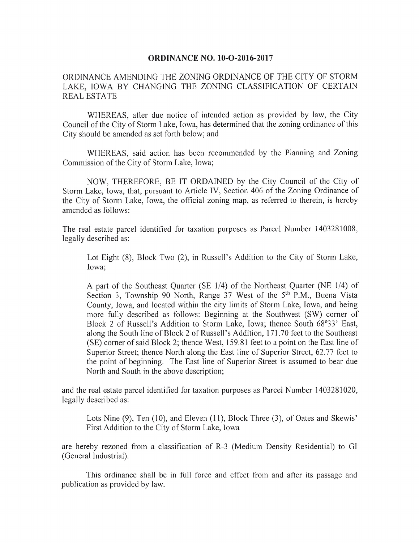## **ORDINANCE NO. 10-O-2016-2017**

ORDINANCE AMENDING THE ZONING ORDINANCE OF THE CITY OF STORM LAKE, IOWA BY CHANGING THE ZONING CLASSIFICATION OF CERTAIN REAL ESTATE

WHEREAS, after due notice of intended action as provided by law, the City Council of the City of Storm Lake, Iowa, has determined that the zoning ordinance of this City should be amended as set forth below; and

WHEREAS, said action has been recommended by the Planning and Zoning Commission of the City of Storm Lake, Iowa;

NOW, THEREFORE, BE IT ORDAINED by the City Council of the City of Storm Lake, Iowa, that, pursuant to Article IV, Section 406 of the Zoning Ordinance of the City of Storm Lake, Iowa, the official zoning map, as referred to therein, is hereby amended as follows:

The real estate parcel identified for taxation purposes as Parcel Number 1403281008, legally described as:

Lot Eight (8), Block Two (2), in Russell's Addition to the City of Storm Lake, Iowa;

A part of the Southeast Quarter ( $SE$  1/4) of the Northeast Quarter ( $NE$  1/4) of Section 3, Township 90 North, Range 37 West of the 5<sup>th</sup> P.M., Buena Vista County, Iowa, and located within the city limits of Storm Lake, Iowa, and being more fully described as follows: Beginning at the Southwest (SW) corner of Block 2 of Russell's Addition to Storm Lake, Iowa; thence South 68°33' East, along the South line of Block 2 of Russell's Addition, 171.70 feet to the Southeast  $(SE)$  corner of said Block 2; thence West, 159.81 feet to a point on the East line of Superior Street; thence North along the East line of Superior Street, 62.77 feet to the point of beginning. The East line of Superior Street is assumed to bear due North and South in the above description;

and the real estate parcel identified for taxation purposes as Parcel Number 1403281020, legally described as:

Lots Nine (9), Ten (10), and Eleven (11), Block Three (3), of Oates and Skewis' First Addition to the City of Storm Lake, Iowa

are hereby rezoned from a classification of R-3 (Medium Density Residential) to GI General Industrial).

This ordinance shall be in full force and effect from and after its passage and publication as provided by law.